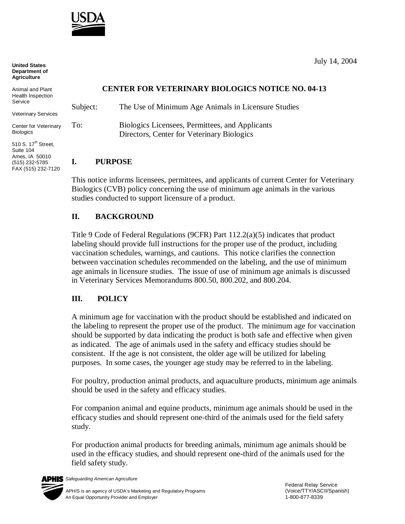

**United States Department of Agriculture**

Veterinary Services

Center for Veterinary **Biologics** 

510 S. 17<sup>th</sup> Street, Suite 104 Ames, IA 50010 (515) 232-5785 FAX (515) 232-7120

## **CENTER FOR VETERINARY BIOLOGICS NOTICE NO. 04-13**

Subject: The Use of Minimum Age Animals in Licensure Studies To: Biologics Licensees, Permittees, and Applicants Directors, Center for Veterinary Biologics

### **I. PURPOSE**

This notice informs licensees, permittees, and applicants of current Center for Veterinary Biologics (CVB) policy concerning the use of minimum age animals in the various studies conducted to support licensure of a product.

# **II. BACKGROUND**

Title 9 Code of Federal Regulations (9CFR) Part 112.2(a)(5) indicates that product labeling should provide full instructions for the proper use of the product, including vaccination schedules, warnings, and cautions. This notice clarifies the connection between vaccination schedules recommended on the labeling, and the use of minimum age animals in licensure studies. The issue of use of minimum age animals is discussed in Veterinary Services Memorandums 800.50, 800.202, and 800.204.

## **III. POLICY**

A minimum age for vaccination with the product should be established and indicated on the labeling to represent the proper use of the product. The minimum age for vaccination should be supported by data indicating the product is both safe and effective when given as indicated. The age of animals used in the safety and efficacy studies should be consistent. If the age is not consistent, the older age will be utilized for labeling purposes. In some cases, the younger age study may be referred to in the labeling.

For poultry, production animal products, and aquaculture products, minimum age animals should be used in the safety and efficacy studies.

For companion animal and equine products, minimum age animals should be used in the efficacy studies and should represent one-third of the animals used for the field safety study.

For production animal products for breeding animals, minimum age animals should be used in the efficacy studies, and should represent one-third of the animals used for the field safety study.



July 14, 2004